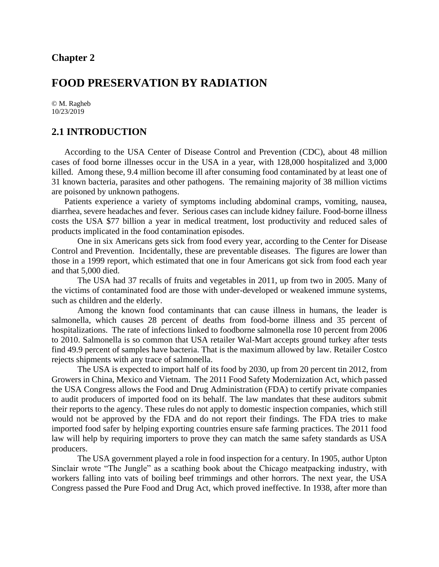## **Chapter 2**

# **FOOD PRESERVATION BY RADIATION**

© M. Ragheb 10/23/2019

#### **2.1 INTRODUCTION**

According to the USA Center of Disease Control and Prevention (CDC), about 48 million cases of food borne illnesses occur in the USA in a year, with 128,000 hospitalized and 3,000 killed. Among these, 9.4 million become ill after consuming food contaminated by at least one of 31 known bacteria, parasites and other pathogens. The remaining majority of 38 million victims are poisoned by unknown pathogens.

Patients experience a variety of symptoms including abdominal cramps, vomiting, nausea, diarrhea, severe headaches and fever. Serious cases can include kidney failure. Food-borne illness costs the USA \$77 billion a year in medical treatment, lost productivity and reduced sales of products implicated in the food contamination episodes.

One in six Americans gets sick from food every year, according to the Center for Disease Control and Prevention. Incidentally, these are preventable diseases. The figures are lower than those in a 1999 report, which estimated that one in four Americans got sick from food each year and that 5,000 died.

The USA had 37 recalls of fruits and vegetables in 2011, up from two in 2005. Many of the victims of contaminated food are those with under-developed or weakened immune systems, such as children and the elderly.

Among the known food contaminants that can cause illness in humans, the leader is salmonella, which causes 28 percent of deaths from food-borne illness and 35 percent of hospitalizations. The rate of infections linked to foodborne salmonella rose 10 percent from 2006 to 2010. Salmonella is so common that USA retailer Wal-Mart accepts ground turkey after tests find 49.9 percent of samples have bacteria. That is the maximum allowed by law. Retailer Costco rejects shipments with any trace of salmonella.

The USA is expected to import half of its food by 2030, up from 20 percent tin 2012, from Growers in China, Mexico and Vietnam. The 2011 Food Safety Modernization Act, which passed the USA Congress allows the Food and Drug Administration (FDA) to certify private companies to audit producers of imported food on its behalf. The law mandates that these auditors submit their reports to the agency. These rules do not apply to domestic inspection companies, which still would not be approved by the FDA and do not report their findings. The FDA tries to make imported food safer by helping exporting countries ensure safe farming practices. The 2011 food law will help by requiring importers to prove they can match the same safety standards as USA producers.

The USA government played a role in food inspection for a century. In 1905, author Upton Sinclair wrote "The Jungle" as a scathing book about the Chicago meatpacking industry, with workers falling into vats of boiling beef trimmings and other horrors. The next year, the USA Congress passed the Pure Food and Drug Act, which proved ineffective. In 1938, after more than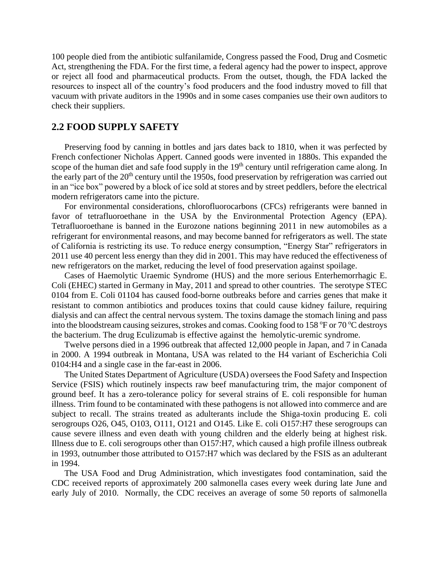100 people died from the antibiotic sulfanilamide, Congress passed the Food, Drug and Cosmetic Act, strengthening the FDA. For the first time, a federal agency had the power to inspect, approve or reject all food and pharmaceutical products. From the outset, though, the FDA lacked the resources to inspect all of the country's food producers and the food industry moved to fill that vacuum with private auditors in the 1990s and in some cases companies use their own auditors to check their suppliers.

## **2.2 FOOD SUPPLY SAFETY**

Preserving food by canning in bottles and jars dates back to 1810, when it was perfected by French confectioner Nicholas Appert. Canned goods were invented in 1880s. This expanded the scope of the human diet and safe food supply in the 19<sup>th</sup> century until refrigeration came along. In the early part of the 20<sup>th</sup> century until the 1950s, food preservation by refrigeration was carried out in an "ice box" powered by a block of ice sold at stores and by street peddlers, before the electrical modern refrigerators came into the picture.

For environmental considerations, chlorofluorocarbons (CFCs) refrigerants were banned in favor of tetrafluoroethane in the USA by the Environmental Protection Agency (EPA). Tetrafluoroethane is banned in the Eurozone nations beginning 2011 in new automobiles as a refrigerant for environmental reasons, and may become banned for refrigerators as well. The state of California is restricting its use. To reduce energy consumption, "Energy Star" refrigerators in 2011 use 40 percent less energy than they did in 2001. This may have reduced the effectiveness of new refrigerators on the market, reducing the level of food preservation against spoilage.

Cases of Haemolytic Uraemic Syndrome (HUS) and the more serious Enterhemorrhagic E. Coli (EHEC) started in Germany in May, 2011 and spread to other countries. The serotype STEC 0104 from E. Coli 01104 has caused food-borne outbreaks before and carries genes that make it resistant to common antibiotics and produces toxins that could cause kidney failure, requiring dialysis and can affect the central nervous system. The toxins damage the stomach lining and pass into the bloodstream causing seizures, strokes and comas. Cooking food to 158  $\degree$ F or 70  $\degree$ C destroys the bacterium. The drug Eculizumab is effective against the hemolytic-uremic syndrome.

Twelve persons died in a 1996 outbreak that affected 12,000 people in Japan, and 7 in Canada in 2000. A 1994 outbreak in Montana, USA was related to the H4 variant of Escherichia Coli 0104:H4 and a single case in the far-east in 2006.

The United States Department of Agriculture (USDA) oversees the Food Safety and Inspection Service (FSIS) which routinely inspects raw beef manufacturing trim, the major component of ground beef. It has a zero-tolerance policy for several strains of E. coli responsible for human illness. Trim found to be contaminated with these pathogens is not allowed into commerce and are subject to recall. The strains treated as adulterants include the Shiga-toxin producing E. coli serogroups O26, O45, O103, O111, O121 and O145. Like E. coli O157:H7 these serogroups can cause severe illness and even death with young children and the elderly being at highest risk. Illness due to E. coli serogroups other than O157:H7, which caused a high profile illness outbreak in 1993, outnumber those attributed to O157:H7 which was declared by the FSIS as an adulterant in 1994.

The USA Food and Drug Administration, which investigates food contamination, said the CDC received reports of approximately 200 salmonella cases every week during late June and early July of 2010. Normally, the CDC receives an average of some 50 reports of salmonella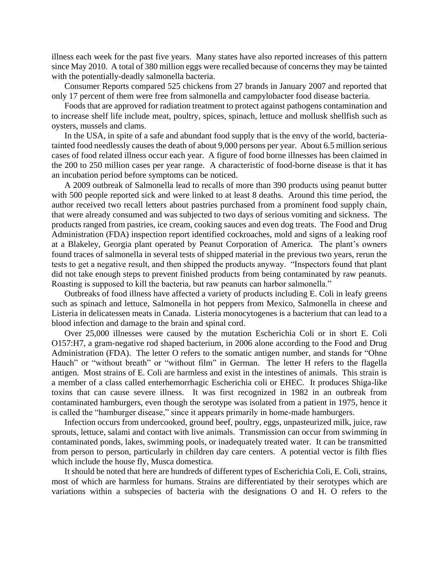illness each week for the past five years. Many states have also reported increases of this pattern since May 2010. A total of 380 million eggs were recalled because of concerns they may be tainted with the potentially-deadly salmonella bacteria.

Consumer Reports compared 525 chickens from 27 brands in January 2007 and reported that only 17 percent of them were free from salmonella and campylobacter food disease bacteria.

Foods that are approved for radiation treatment to protect against pathogens contamination and to increase shelf life include meat, poultry, spices, spinach, lettuce and mollusk shellfish such as oysters, mussels and clams.

In the USA, in spite of a safe and abundant food supply that is the envy of the world, bacteriatainted food needlessly causes the death of about 9,000 persons per year. About 6.5 million serious cases of food related illness occur each year. A figure of food borne illnesses has been claimed in the 200 to 250 million cases per year range. A characteristic of food-borne disease is that it has an incubation period before symptoms can be noticed.

A 2009 outbreak of Salmonella lead to recalls of more than 390 products using peanut butter with 500 people reported sick and were linked to at least 8 deaths. Around this time period, the author received two recall letters about pastries purchased from a prominent food supply chain, that were already consumed and was subjected to two days of serious vomiting and sickness. The products ranged from pastries, ice cream, cooking sauces and even dog treats. The Food and Drug Administration (FDA) inspection report identified cockroaches, mold and signs of a leaking roof at a Blakeley, Georgia plant operated by Peanut Corporation of America. The plant's owners found traces of salmonella in several tests of shipped material in the previous two years, rerun the tests to get a negative result, and then shipped the products anyway. "Inspectors found that plant did not take enough steps to prevent finished products from being contaminated by raw peanuts. Roasting is supposed to kill the bacteria, but raw peanuts can harbor salmonella."

Outbreaks of food illness have affected a variety of products including E. Coli in leafy greens such as spinach and lettuce, Salmonella in hot peppers from Mexico, Salmonella in cheese and Listeria in delicatessen meats in Canada. Listeria monocytogenes is a bacterium that can lead to a blood infection and damage to the brain and spinal cord.

Over 25,000 illnesses were caused by the mutation Escherichia Coli or in short E. Coli O157:H7, a gram-negative rod shaped bacterium, in 2006 alone according to the Food and Drug Administration (FDA). The letter O refers to the somatic antigen number, and stands for "Ohne Hauch" or "without breath" or "without film" in German. The letter H refers to the flagella antigen. Most strains of E. Coli are harmless and exist in the intestines of animals. This strain is a member of a class called enterhemorrhagic Escherichia coli or EHEC. It produces Shiga-like toxins that can cause severe illness. It was first recognized in 1982 in an outbreak from contaminated hamburgers, even though the serotype was isolated from a patient in 1975, hence it is called the "hamburger disease," since it appears primarily in home-made hamburgers.

Infection occurs from undercooked, ground beef, poultry, eggs, unpasteurized milk, juice, raw sprouts, lettuce, salami and contact with live animals. Transmission can occur from swimming in contaminated ponds, lakes, swimming pools, or inadequately treated water. It can be transmitted from person to person, particularly in children day care centers. A potential vector is filth flies which include the house fly, Musca domestica.

It should be noted that here are hundreds of different types of Escherichia Coli, E. Coli, strains, most of which are harmless for humans. Strains are differentiated by their serotypes which are variations within a subspecies of bacteria with the designations O and H. O refers to the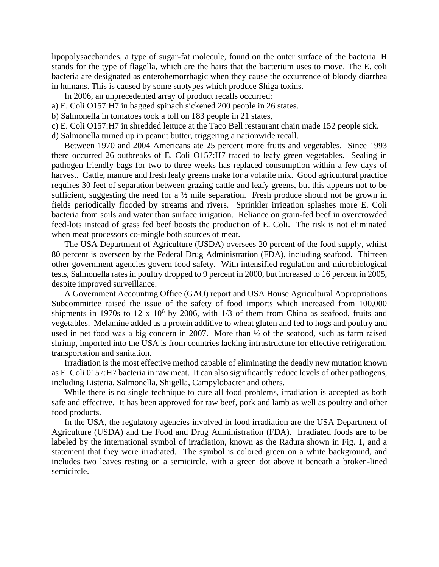lipopolysaccharides, a type of sugar-fat molecule, found on the outer surface of the bacteria. H stands for the type of flagella, which are the hairs that the bacterium uses to move. The E. coli bacteria are designated as enterohemorrhagic when they cause the occurrence of bloody diarrhea in humans. This is caused by some subtypes which produce Shiga toxins.

- In 2006, an unprecedented array of product recalls occurred:
- a) E. Coli O157:H7 in bagged spinach sickened 200 people in 26 states.
- b) Salmonella in tomatoes took a toll on 183 people in 21 states,
- c) E. Coli O157:H7 in shredded lettuce at the Taco Bell restaurant chain made 152 people sick.
- d) Salmonella turned up in peanut butter, triggering a nationwide recall.

Between 1970 and 2004 Americans ate 25 percent more fruits and vegetables. Since 1993 there occurred 26 outbreaks of E. Coli O157:H7 traced to leafy green vegetables. Sealing in pathogen friendly bags for two to three weeks has replaced consumption within a few days of harvest. Cattle, manure and fresh leafy greens make for a volatile mix. Good agricultural practice requires 30 feet of separation between grazing cattle and leafy greens, but this appears not to be sufficient, suggesting the need for a  $\frac{1}{2}$  mile separation. Fresh produce should not be grown in fields periodically flooded by streams and rivers. Sprinkler irrigation splashes more E. Coli bacteria from soils and water than surface irrigation. Reliance on grain-fed beef in overcrowded feed-lots instead of grass fed beef boosts the production of E. Coli. The risk is not eliminated when meat processors co-mingle both sources of meat.

The USA Department of Agriculture (USDA) oversees 20 percent of the food supply, whilst 80 percent is overseen by the Federal Drug Administration (FDA), including seafood. Thirteen other government agencies govern food safety. With intensified regulation and microbiological tests, Salmonella rates in poultry dropped to 9 percent in 2000, but increased to 16 percent in 2005, despite improved surveillance.

A Government Accounting Office (GAO) report and USA House Agricultural Appropriations Subcommittee raised the issue of the safety of food imports which increased from 100,000 shipments in 1970s to 12 x  $10<sup>6</sup>$  by 2006, with 1/3 of them from China as seafood, fruits and vegetables. Melamine added as a protein additive to wheat gluten and fed to hogs and poultry and used in pet food was a big concern in 2007. More than ½ of the seafood, such as farm raised shrimp, imported into the USA is from countries lacking infrastructure for effective refrigeration, transportation and sanitation.

Irradiation is the most effective method capable of eliminating the deadly new mutation known as E. Coli 0157:H7 bacteria in raw meat. It can also significantly reduce levels of other pathogens, including Listeria, Salmonella, Shigella, Campylobacter and others.

While there is no single technique to cure all food problems, irradiation is accepted as both safe and effective. It has been approved for raw beef, pork and lamb as well as poultry and other food products.

In the USA, the regulatory agencies involved in food irradiation are the USA Department of Agriculture (USDA) and the Food and Drug Administration (FDA). Irradiated foods are to be labeled by the international symbol of irradiation, known as the Radura shown in Fig. 1, and a statement that they were irradiated. The symbol is colored green on a white background, and includes two leaves resting on a semicircle, with a green dot above it beneath a broken-lined semicircle.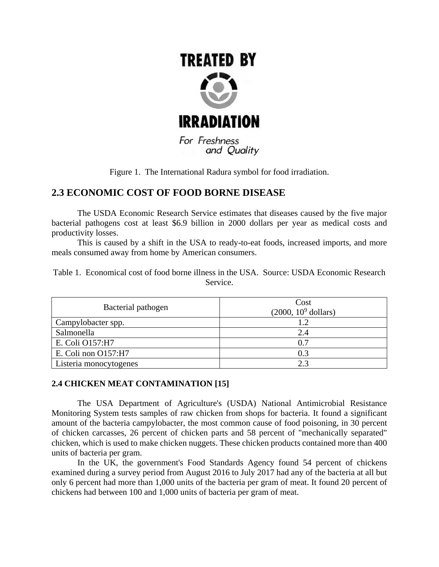

and Quality

Figure 1. The International Radura symbol for food irradiation.

# **2.3 ECONOMIC COST OF FOOD BORNE DISEASE**

The USDA Economic Research Service estimates that diseases caused by the five major bacterial pathogens cost at least \$6.9 billion in 2000 dollars per year as medical costs and productivity losses.

This is caused by a shift in the USA to ready-to-eat foods, increased imports, and more meals consumed away from home by American consumers.

|  |  | Table 1. Economical cost of food borne illness in the USA. Source: USDA Economic Research |  |  |  |
|--|--|-------------------------------------------------------------------------------------------|--|--|--|
|  |  | Service.                                                                                  |  |  |  |

| Bacterial pathogen     | Cost<br>$(2000, 10^9$ dollars) |  |  |
|------------------------|--------------------------------|--|--|
| Campylobacter spp.     | 1.2                            |  |  |
| Salmonella             | 2.4                            |  |  |
| E. Coli O157:H7        | 0.7                            |  |  |
| E. Coli non O157:H7    | 0.3                            |  |  |
| Listeria monocytogenes | 23                             |  |  |

## **2.4 CHICKEN MEAT CONTAMINATION [15]**

The USA Department of Agriculture's (USDA) National Antimicrobial Resistance Monitoring System tests samples of raw chicken from shops for bacteria. It found a significant amount of the bacteria campylobacter, the most common cause of food poisoning, in 30 percent of chicken carcasses, 26 percent of chicken parts and 58 percent of "mechanically separated" chicken, which is used to make chicken nuggets. These chicken products contained more than 400 units of bacteria per gram.

In the UK, the government's Food Standards Agency found 54 percent of chickens examined during a survey period from August 2016 to July 2017 had any of the bacteria at all but only 6 percent had more than 1,000 units of the bacteria per gram of meat. It found 20 percent of chickens had between 100 and 1,000 units of bacteria per gram of meat.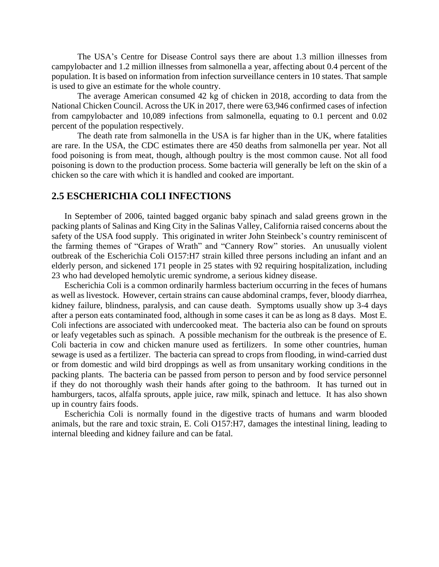The USA's Centre for Disease Control says there are about 1.3 million illnesses from campylobacter and 1.2 million illnesses from salmonella a year, affecting about 0.4 percent of the population. It is based on information from infection surveillance centers in 10 states. That sample is used to give an estimate for the whole country.

The average American consumed 42 kg of chicken in 2018, according to data from the National Chicken Council. Across the UK in 2017, there were 63,946 confirmed cases of infection from campylobacter and 10,089 infections from salmonella, equating to 0.1 percent and 0.02 percent of the population respectively.

The death rate from salmonella in the USA is far higher than in the UK, where fatalities are rare. In the USA, the CDC estimates there are 450 deaths from salmonella per year. Not all food poisoning is from meat, though, although poultry is the most common cause. Not all food poisoning is down to the production process. Some bacteria will generally be left on the skin of a chicken so the care with which it is handled and cooked are important.

### **2.5 ESCHERICHIA COLI INFECTIONS**

In September of 2006, tainted bagged organic baby spinach and salad greens grown in the packing plants of Salinas and King City in the Salinas Valley, California raised concerns about the safety of the USA food supply. This originated in writer John Steinbeck's country reminiscent of the farming themes of "Grapes of Wrath" and "Cannery Row" stories. An unusually violent outbreak of the Escherichia Coli O157:H7 strain killed three persons including an infant and an elderly person, and sickened 171 people in 25 states with 92 requiring hospitalization, including 23 who had developed hemolytic uremic syndrome, a serious kidney disease.

Escherichia Coli is a common ordinarily harmless bacterium occurring in the feces of humans as well as livestock. However, certain strains can cause abdominal cramps, fever, bloody diarrhea, kidney failure, blindness, paralysis, and can cause death. Symptoms usually show up 3-4 days after a person eats contaminated food, although in some cases it can be as long as 8 days. Most E. Coli infections are associated with undercooked meat. The bacteria also can be found on sprouts or leafy vegetables such as spinach. A possible mechanism for the outbreak is the presence of E. Coli bacteria in cow and chicken manure used as fertilizers. In some other countries, human sewage is used as a fertilizer. The bacteria can spread to crops from flooding, in wind-carried dust or from domestic and wild bird droppings as well as from unsanitary working conditions in the packing plants. The bacteria can be passed from person to person and by food service personnel if they do not thoroughly wash their hands after going to the bathroom. It has turned out in hamburgers, tacos, alfalfa sprouts, apple juice, raw milk, spinach and lettuce. It has also shown up in country fairs foods.

Escherichia Coli is normally found in the digestive tracts of humans and warm blooded animals, but the rare and toxic strain, E. Coli O157:H7, damages the intestinal lining, leading to internal bleeding and kidney failure and can be fatal.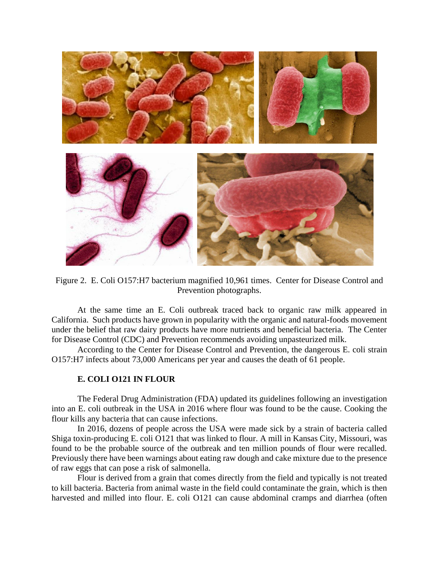

Figure 2. E. Coli O157:H7 bacterium magnified 10,961 times. Center for Disease Control and Prevention photographs.

At the same time an E. Coli outbreak traced back to organic raw milk appeared in California. Such products have grown in popularity with the organic and natural-foods movement under the belief that raw dairy products have more nutrients and beneficial bacteria. The Center for Disease Control (CDC) and Prevention recommends avoiding unpasteurized milk.

According to the Center for Disease Control and Prevention, the dangerous E. coli strain O157:H7 infects about 73,000 Americans per year and causes the death of 61 people.

## **E. COLI O121 IN FLOUR**

The Federal Drug Administration (FDA) updated its guidelines following an investigation into an E. coli outbreak in the USA in 2016 where flour was found to be the cause. Cooking the flour kills any bacteria that can cause infections.

In 2016, dozens of people across the USA were made sick by a strain of bacteria called Shiga toxin-producing E. coli O121 that was linked to flour. A mill in Kansas City, Missouri, was found to be the probable source of the outbreak and ten million pounds of flour were recalled. Previously there have been warnings about eating raw dough and cake mixture due to the presence of raw eggs that can pose a risk of salmonella.

Flour is derived from a grain that comes directly from the field and typically is not treated to kill bacteria. Bacteria from animal waste in the field could contaminate the grain, which is then harvested and milled into flour. E. coli O121 can cause abdominal cramps and diarrhea (often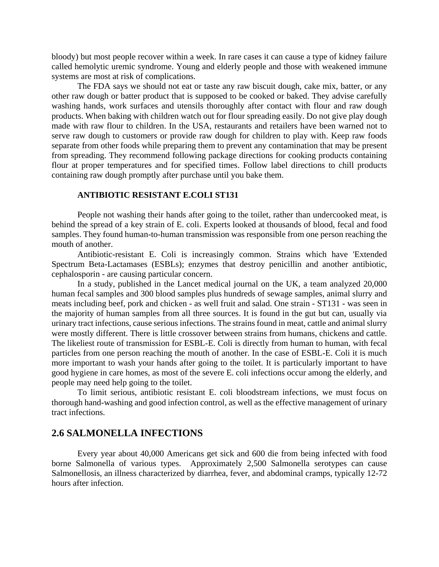bloody) but most people recover within a week. In rare cases it can cause a type of kidney failure called hemolytic uremic syndrome. Young and elderly people and those with weakened immune systems are most at risk of complications.

The FDA says we should not eat or taste any raw biscuit dough, cake mix, batter, or any other raw dough or batter product that is supposed to be cooked or baked. They advise carefully washing hands, work surfaces and utensils thoroughly after contact with flour and raw dough products. When baking with children watch out for flour spreading easily. Do not give play dough made with raw flour to children. In the USA, restaurants and retailers have been warned not to serve raw dough to customers or provide raw dough for children to play with. Keep raw foods separate from other foods while preparing them to prevent any contamination that may be present from spreading. They recommend following package directions for cooking products containing flour at proper temperatures and for specified times. Follow label directions to chill products containing raw dough promptly after purchase until you bake them.

#### **ANTIBIOTIC RESISTANT E.COLI ST131**

People not washing their hands after going to the toilet, rather than undercooked meat, is behind the spread of a key strain of E. coli. Experts looked at thousands of blood, fecal and food samples. They found human-to-human transmission was responsible from one person reaching the mouth of another.

Antibiotic-resistant E. Coli is increasingly common. Strains which have 'Extended Spectrum Beta-Lactamases (ESBLs); enzymes that destroy penicillin and another antibiotic, cephalosporin - are causing particular concern.

In a study, published in the Lancet medical journal on the UK, a team analyzed 20,000 human fecal samples and 300 blood samples plus hundreds of sewage samples, animal slurry and meats including beef, pork and chicken - as well fruit and salad. One strain - ST131 - was seen in the majority of human samples from all three sources. It is found in the gut but can, usually via urinary tract infections, cause serious infections. The strains found in meat, cattle and animal slurry were mostly different. There is little crossover between strains from humans, chickens and cattle. The likeliest route of transmission for ESBL-E. Coli is directly from human to human, with fecal particles from one person reaching the mouth of another. In the case of ESBL-E. Coli it is much more important to wash your hands after going to the toilet. It is particularly important to have good hygiene in care homes, as most of the severe E. coli infections occur among the elderly, and people may need help going to the toilet.

To limit serious, antibiotic resistant E. coli bloodstream infections, we must focus on thorough hand-washing and good infection control, as well as the effective management of urinary tract infections.

#### **2.6 SALMONELLA INFECTIONS**

Every year about 40,000 Americans get sick and 600 die from being infected with food borne Salmonella of various types. Approximately 2,500 Salmonella serotypes can cause Salmonellosis, an illness characterized by diarrhea, fever, and abdominal cramps, typically 12-72 hours after infection.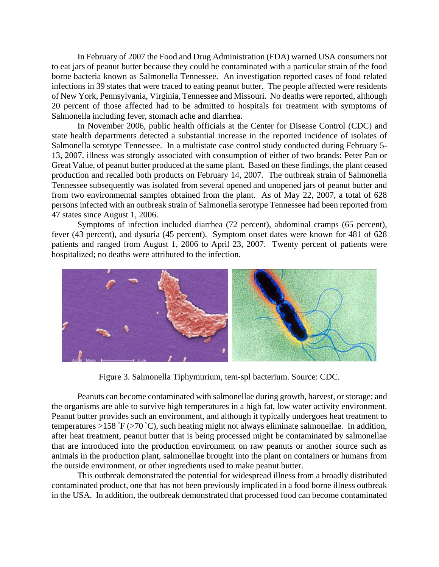In February of 2007 the Food and Drug Administration (FDA) warned USA consumers not to eat jars of peanut butter because they could be contaminated with a particular strain of the food borne bacteria known as Salmonella Tennessee. An investigation reported cases of food related infections in 39 states that were traced to eating peanut butter. The people affected were residents of New York, Pennsylvania, Virginia, Tennessee and Missouri. No deaths were reported, although 20 percent of those affected had to be admitted to hospitals for treatment with symptoms of Salmonella including fever, stomach ache and diarrhea.

In November 2006, public health officials at the Center for Disease Control (CDC) and state health departments detected a substantial increase in the reported incidence of isolates of Salmonella serotype Tennessee. In a multistate case control study conducted during February 5- 13, 2007, illness was strongly associated with consumption of either of two brands: Peter Pan or Great Value, of peanut butter produced at the same plant. Based on these findings, the plant ceased production and recalled both products on February 14, 2007. The outbreak strain of Salmonella Tennessee subsequently was isolated from several opened and unopened jars of peanut butter and from two environmental samples obtained from the plant. As of May 22, 2007, a total of 628 persons infected with an outbreak strain of Salmonella serotype Tennessee had been reported from 47 states since August 1, 2006.

Symptoms of infection included diarrhea (72 percent), abdominal cramps (65 percent), fever (43 percent), and dysuria (45 percent). Symptom onset dates were known for 481 of 628 patients and ranged from August 1, 2006 to April 23, 2007. Twenty percent of patients were hospitalized; no deaths were attributed to the infection.



Figure 3. Salmonella Tiphymurium, tem-spl bacterium. Source: CDC.

Peanuts can become contaminated with salmonellae during growth, harvest, or storage; and the organisms are able to survive high temperatures in a high fat, low water activity environment. Peanut butter provides such an environment, and although it typically undergoes heat treatment to temperatures >158 °F (>70 °C), such heating might not always eliminate salmonellae*.* In addition, after heat treatment, peanut butter that is being processed might be contaminated by salmonellae that are introduced into the production environment on raw peanuts or another source such as animals in the production plant, salmonellae brought into the plant on containers or humans from the outside environment, or other ingredients used to make peanut butter.

This outbreak demonstrated the potential for widespread illness from a broadly distributed contaminated product, one that has not been previously implicated in a food borne illness outbreak in the USA. In addition, the outbreak demonstrated that processed food can become contaminated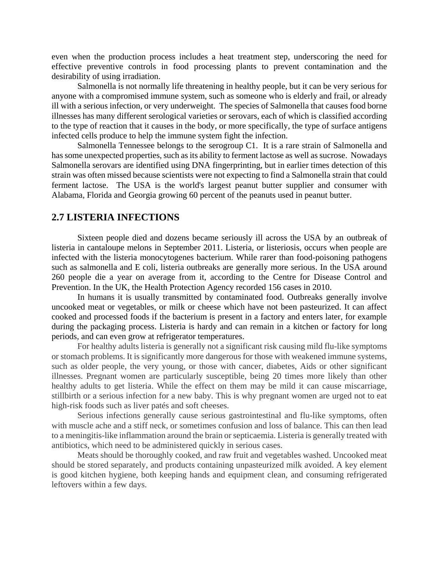even when the production process includes a heat treatment step, underscoring the need for effective preventive controls in food processing plants to prevent contamination and the desirability of using irradiation.

Salmonella is not normally life threatening in healthy people, but it can be very serious for anyone with a compromised immune system, such as someone who is elderly and frail, or already ill with a serious infection, or very underweight. The species of Salmonella that causes food borne illnesses has many different serological varieties or serovars, each of which is classified according to the type of reaction that it causes in the body, or more specifically, the type of surface antigens infected cells produce to help the immune system fight the infection.

Salmonella Tennessee belongs to the serogroup C1. It is a rare strain of Salmonella and has some unexpected properties, such as its ability to ferment lactose as well as sucrose. Nowadays Salmonella serovars are identified using DNA fingerprinting, but in earlier times detection of this strain was often missed because scientists were not expecting to find a Salmonella strain that could ferment lactose. The USA is the world's largest peanut butter supplier and consumer with Alabama, Florida and Georgia growing 60 percent of the peanuts used in peanut butter.

### **2.7 LISTERIA INFECTIONS**

Sixteen people died and dozens became seriously ill across the USA by an [outbreak of](http://www.guardian.co.uk/world/2011/sep/29/listeria-outbreak-us-cantaloupe-melons)  [listeria in cantaloupe melons](http://www.guardian.co.uk/world/2011/sep/29/listeria-outbreak-us-cantaloupe-melons) in September 2011. Listeria, or listeriosis, occurs when people are infected with the listeria monocytogenes bacterium. While rarer than food-poisoning pathogens such as salmonella and E coli, listeria outbreaks are generally more serious. In the USA around 260 people die a year on average from it, [according to the Centre for Disease Control and](http://www.cdc.gov/listeria/definition.html)  [Prevention.](http://www.cdc.gov/listeria/definition.html) In the UK, the [Health Protection Agency recorded 156 cases in](http://www.hpa.org.uk/Topics/InfectiousDiseases/InfectionsAZ/Listeria/EpidemiologicalData/listeCaseReports19832010/) 2010.

In humans it is usually transmitted by contaminated food. Outbreaks generally involve uncooked meat or vegetables, or milk or cheese which have not been pasteurized. It can affect cooked and processed foods if the bacterium is present in a factory and enters later, for example during the packaging process. Listeria is hardy and can remain in a kitchen or factory for long periods, and can even grow at refrigerator temperatures.

For healthy adults listeria is generally not a significant risk causing mild flu-like symptoms or stomach problems. It is significantly more dangerous for those with weakened immune systems, such as older people, the very young, or those with cancer, diabetes, Aids or other significant illnesses. Pregnant women are particularly susceptible, being 20 times more likely than other healthy adults to get listeria. While the effect on them may be mild it can cause miscarriage, stillbirth or a serious infection for a new baby. This is why pregnant women are urged not to eat high-risk foods such as liver patés and soft cheeses.

Serious infections generally cause serious gastrointestinal and flu-like symptoms, often with muscle ache and a stiff neck, or sometimes confusion and loss of balance. This can then lead to a meningitis-like inflammation around the brain or septicaemia. Listeria is generally treated with antibiotics, which need to be administered quickly in serious cases.

Meats should be thoroughly cooked, and raw fruit and vegetables washed. Uncooked meat should be stored separately, and products containing unpasteurized milk avoided. A key element is good kitchen hygiene, both keeping hands and equipment clean, and consuming refrigerated leftovers within a few days.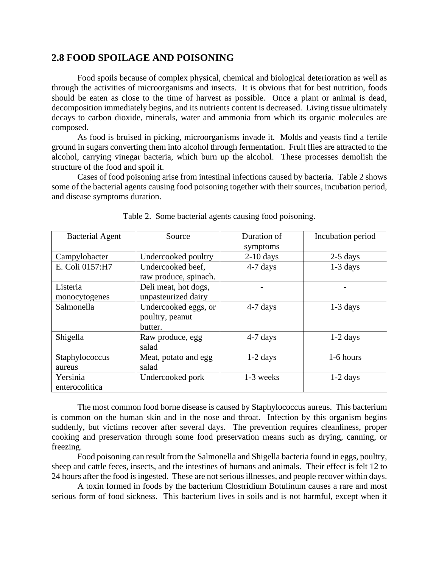## **2.8 FOOD SPOILAGE AND POISONING**

Food spoils because of complex physical, chemical and biological deterioration as well as through the activities of microorganisms and insects. It is obvious that for best nutrition, foods should be eaten as close to the time of harvest as possible. Once a plant or animal is dead, decomposition immediately begins, and its nutrients content is decreased. Living tissue ultimately decays to carbon dioxide, minerals, water and ammonia from which its organic molecules are composed.

As food is bruised in picking, microorganisms invade it. Molds and yeasts find a fertile ground in sugars converting them into alcohol through fermentation. Fruit flies are attracted to the alcohol, carrying vinegar bacteria, which burn up the alcohol. These processes demolish the structure of the food and spoil it.

Cases of food poisoning arise from intestinal infections caused by bacteria. Table 2 shows some of the bacterial agents causing food poisoning together with their sources, incubation period, and disease symptoms duration.

| <b>Bacterial Agent</b> | Source                | Duration of | Incubation period |
|------------------------|-----------------------|-------------|-------------------|
|                        |                       | symptoms    |                   |
| Campylobacter          | Undercooked poultry   | $2-10$ days | $2-5$ days        |
| E. Coli 0157:H7        | Undercooked beef.     | $4-7$ days  | $1-3$ days        |
|                        | raw produce, spinach. |             |                   |
| Listeria               | Deli meat, hot dogs,  |             |                   |
| monocytogenes          | unpasteurized dairy   |             |                   |
| Salmonella             | Undercooked eggs, or  | $4-7$ days  | $1-3$ days        |
|                        | poultry, peanut       |             |                   |
|                        | butter.               |             |                   |
| Shigella               | Raw produce, egg      | $4-7$ days  | $1-2$ days        |
|                        | salad                 |             |                   |
| Staphylococcus         | Meat, potato and egg  | $1-2$ days  | 1-6 hours         |
| aureus                 | salad                 |             |                   |
| Yersinia               | Undercooked pork      | 1-3 weeks   | $1-2$ days        |
| enterocolitica         |                       |             |                   |

Table 2. Some bacterial agents causing food poisoning.

The most common food borne disease is caused by Staphylococcus aureus. This bacterium is common on the human skin and in the nose and throat. Infection by this organism begins suddenly, but victims recover after several days. The prevention requires cleanliness, proper cooking and preservation through some food preservation means such as drying, canning, or freezing.

Food poisoning can result from the Salmonella and Shigella bacteria found in eggs, poultry, sheep and cattle feces, insects, and the intestines of humans and animals. Their effect is felt 12 to 24 hours after the food is ingested. These are not serious illnesses, and people recover within days.

A toxin formed in foods by the bacterium Clostridium Botulinum causes a rare and most serious form of food sickness. This bacterium lives in soils and is not harmful, except when it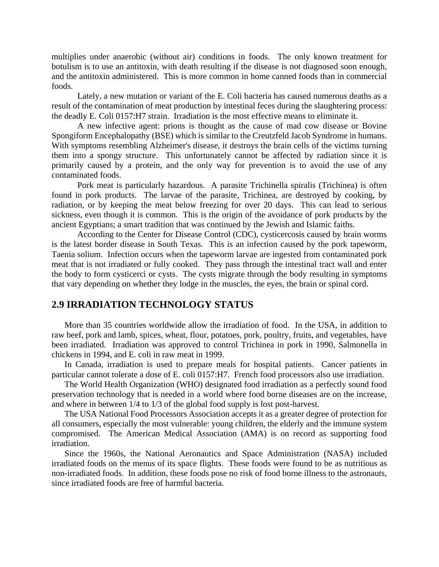multiplies under anaerobic (without air) conditions in foods. The only known treatment for botulism is to use an antitoxin, with death resulting if the disease is not diagnosed soon enough, and the antitoxin administered. This is more common in home canned foods than in commercial foods.

Lately, a new mutation or variant of the E. Coli bacteria has caused numerous deaths as a result of the contamination of meat production by intestinal feces during the slaughtering process: the deadly E. Coli 0157:H7 strain. Irradiation is the most effective means to eliminate it.

A new infective agent: prions is thought as the cause of mad cow disease or Bovine Spongiform Encephalopathy (BSE) which is similar to the Creutzfeld Jacob Syndrome in humans. With symptoms resembling Alzheimer's disease, it destroys the brain cells of the victims turning them into a spongy structure. This unfortunately cannot be affected by radiation since it is primarily caused by a protein, and the only way for prevention is to avoid the use of any contaminated foods.

Pork meat is particularly hazardous. A parasite Trichinella spiralis (Trichinea) is often found in pork products. The larvae of the parasite, Trichinea, are destroyed by cooking, by radiation, or by keeping the meat below freezing for over 20 days. This can lead to serious sickness, even though it is common. This is the origin of the avoidance of pork products by the ancient Egyptians; a smart tradition that was continued by the Jewish and Islamic faiths.

According to the Center for Disease Control (CDC), cysticercosis caused by brain worms is the latest border disease in South Texas. This is an infection caused by the pork tapeworm, Taenia solium. Infection occurs when the tapeworm larvae are ingested from contaminated pork meat that is not irradiated or fully cooked. They pass through the intestinal tract wall and enter the body to form cysticerci or cysts. The cysts migrate through the body resulting in symptoms that vary depending on whether they lodge in the muscles, the eyes, the brain or spinal cord.

## **2.9 IRRADIATION TECHNOLOGY STATUS**

More than 35 countries worldwide allow the irradiation of food. In the USA, in addition to raw beef, pork and lamb, spices, wheat, flour, potatoes, pork, poultry, fruits, and vegetables, have been irradiated. Irradiation was approved to control Trichinea in pork in 1990, Salmonella in chickens in 1994, and E. coli in raw meat in 1999.

In Canada, irradiation is used to prepare meals for hospital patients. Cancer patients in particular cannot tolerate a dose of E. coli 0157:H7. French food processors also use irradiation.

The World Health Organization (WHO) designated food irradiation as a perfectly sound food preservation technology that is needed in a world where food borne diseases are on the increase, and where in between 1/4 to 1/3 of the global food supply is lost post-harvest.

The USA National Food Processors Association accepts it as a greater degree of protection for all consumers, especially the most vulnerable: young children, the elderly and the immune system compromised. The American Medical Association (AMA) is on record as supporting food irradiation.

Since the 1960s, the National Aeronautics and Space Administration (NASA) included irradiated foods on the menus of its space flights. These foods were found to be as nutritious as non-irradiated foods. In addition, these foods pose no risk of food borne illness to the astronauts, since irradiated foods are free of harmful bacteria.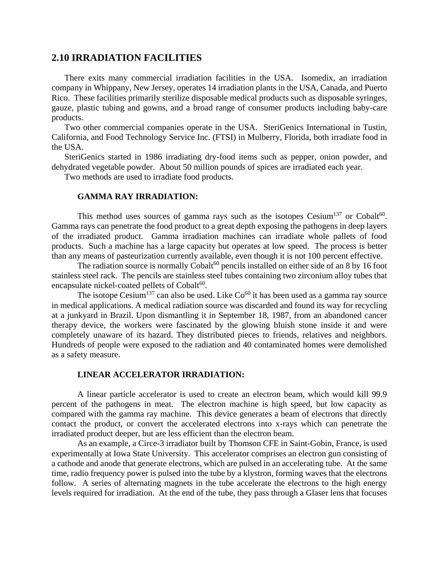#### **2.10 IRRADIATION FACILITIES**

There exits many commercial irradiation facilities in the USA. Isomedix, an irradiation company in Whippany, New Jersey, operates 14 irradiation plants in the USA, Canada, and Puerto Rico. These facilities primarily sterilize disposable medical products such as disposable syringes, gauze, plastic tubing and gowns, and a broad range of consumer products including baby-care products.

Two other commercial companies operate in the USA. SteriGenics International in Tustin, California, and Food Technology Service Inc. (FTSI) in Mulberry, Florida, both irradiate food in the USA.

SteriGenics started in 1986 irradiating dry-food items such as pepper, onion powder, and dehydrated vegetable powder. About 50 million pounds of spices are irradiated each year.

Two methods are used to irradiate food products.

#### **GAMMA RAY IRRADIATION:**

This method uses sources of gamma rays such as the isotopes Cesium<sup>137</sup> or Cobalt<sup>60</sup>. Gamma rays can penetrate the food product to a great depth exposing the pathogens in deep layers of the irradiated product. Gamma irradiation machines can irradiate whole pallets of food products. Such a machine has a large capacity but operates at low speed. The process is better than any means of pasteurization currently available, even though it is not 100 percent effective.

The radiation source is normally Cobalt $^{60}$  pencils installed on either side of an 8 by 16 foot stainless steel rack. The pencils are stainless steel tubes containing two zirconium alloy tubes that encapsulate nickel-coated pellets of Cobalt<sup>60</sup>.

The isotope Cesium<sup>137</sup> can also be used. Like  $Co^{60}$  it has been used as a gamma ray source in medical applications. A medical radiation source was discarded and found its way for recycling at a junkyard in Brazil. Upon dismantling it in September 18, 1987, from an abandoned cancer therapy device, the workers were fascinated by the glowing bluish stone inside it and were completely unaware of its hazard. They distributed pieces to friends, relatives and neighbors. Hundreds of people were exposed to the radiation and 40 contaminated homes were demolished as a safety measure.

#### **LINEAR ACCELERATOR IRRADIATION:**

A linear particle accelerator is used to create an electron beam, which would kill 99.9 percent of the pathogens in meat. The electron machine is high speed, but low capacity as compared with the gamma ray machine. This device generates a beam of electrons that directly contact the product, or convert the accelerated electrons into x-rays which can penetrate the irradiated product deeper, but are less efficient than the electron beam.

As an example, a Circe-3 irradiator built by Thomson CFE in Saint-Gobin, France, is used experimentally at Iowa State University. This accelerator comprises an electron gun consisting of a cathode and anode that generate electrons, which are pulsed in an accelerating tube. At the same time, radio frequency power is pulsed into the tube by a klystron, forming waves that the electrons follow. A series of alternating magnets in the tube accelerate the electrons to the high energy levels required for irradiation. At the end of the tube, they pass through a Glaser lens that focuses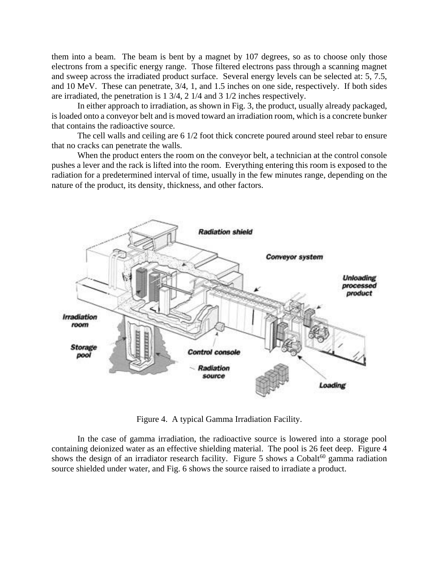them into a beam. The beam is bent by a magnet by 107 degrees, so as to choose only those electrons from a specific energy range. Those filtered electrons pass through a scanning magnet and sweep across the irradiated product surface. Several energy levels can be selected at: 5, 7.5, and 10 MeV. These can penetrate, 3/4, 1, and 1.5 inches on one side, respectively. If both sides are irradiated, the penetration is 1 3/4, 2 1/4 and 3 1/2 inches respectively.

In either approach to irradiation, as shown in Fig. 3, the product, usually already packaged, is loaded onto a conveyor belt and is moved toward an irradiation room, which is a concrete bunker that contains the radioactive source.

The cell walls and ceiling are 6 1/2 foot thick concrete poured around steel rebar to ensure that no cracks can penetrate the walls.

When the product enters the room on the conveyor belt, a technician at the control console pushes a lever and the rack is lifted into the room. Everything entering this room is exposed to the radiation for a predetermined interval of time, usually in the few minutes range, depending on the nature of the product, its density, thickness, and other factors.



Figure 4. A typical Gamma Irradiation Facility.

In the case of gamma irradiation, the radioactive source is lowered into a storage pool containing deionized water as an effective shielding material. The pool is 26 feet deep. Figure 4 shows the design of an irradiator research facility. Figure 5 shows a Cobalt<sup>60</sup> gamma radiation source shielded under water, and Fig. 6 shows the source raised to irradiate a product.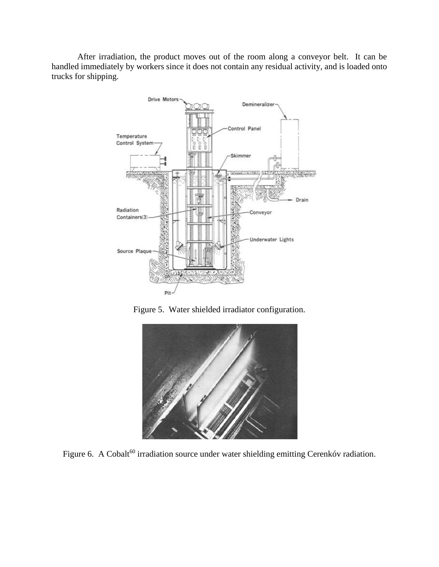After irradiation, the product moves out of the room along a conveyor belt. It can be handled immediately by workers since it does not contain any residual activity, and is loaded onto trucks for shipping.



Figure 5. Water shielded irradiator configuration.



Figure 6. A Cobalt<sup>60</sup> irradiation source under water shielding emitting Cerenkóv radiation.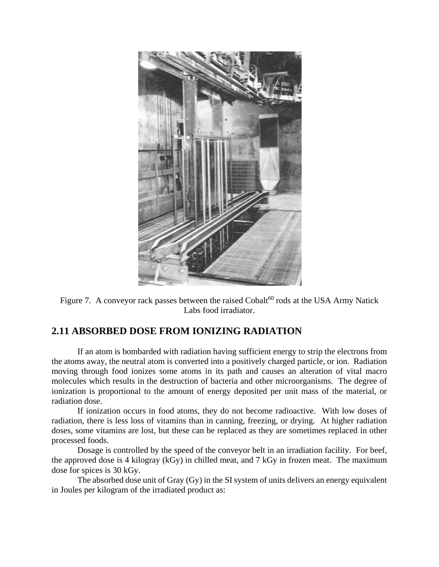

Figure 7. A conveyor rack passes between the raised  $Cobalt^{60}$  rods at the USA Army Natick Labs food irradiator.

# **2.11 ABSORBED DOSE FROM IONIZING RADIATION**

If an atom is bombarded with radiation having sufficient energy to strip the electrons from the atoms away, the neutral atom is converted into a positively charged particle, or ion. Radiation moving through food ionizes some atoms in its path and causes an alteration of vital macro molecules which results in the destruction of bacteria and other microorganisms. The degree of ionization is proportional to the amount of energy deposited per unit mass of the material, or radiation dose.

If ionization occurs in food atoms, they do not become radioactive. With low doses of radiation, there is less loss of vitamins than in canning, freezing, or drying. At higher radiation doses, some vitamins are lost, but these can be replaced as they are sometimes replaced in other processed foods.

Dosage is controlled by the speed of the conveyor belt in an irradiation facility. For beef, the approved dose is 4 kilogray (kGy) in chilled meat, and 7 kGy in frozen meat. The maximum dose for spices is 30 kGy.

The absorbed dose unit of Gray (Gy) in the SI system of units delivers an energy equivalent in Joules per kilogram of the irradiated product as: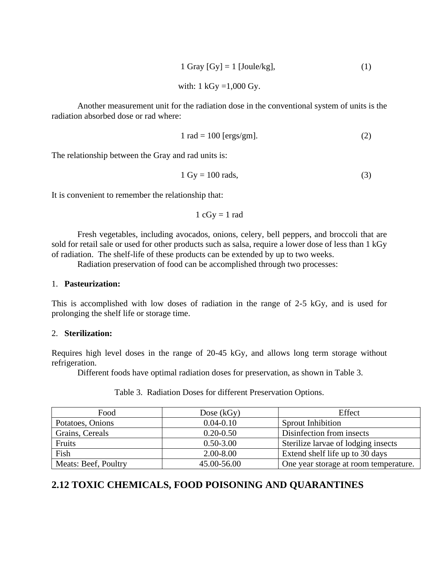$$
1 \text{ Gray [Gy]} = 1 \text{ [Joule/kg]}, \tag{1}
$$

with:  $1 \text{ kGy} = 1,000 \text{ Gy}.$ 

Another measurement unit for the radiation dose in the conventional system of units is the radiation absorbed dose or rad where:

$$
1 rad = 100 [ergs/gm].
$$
 (2)

The relationship between the Gray and rad units is:

$$
1 \text{ Gy} = 100 \text{ rads},\tag{3}
$$

It is convenient to remember the relationship that:

 $1 \text{ cGy} = 1 \text{ rad}$ 

Fresh vegetables, including avocados, onions, celery, bell peppers, and broccoli that are sold for retail sale or used for other products such as salsa, require a lower dose of less than 1 kGy of radiation. The shelf-life of these products can be extended by up to two weeks.

Radiation preservation of food can be accomplished through two processes:

#### 1. **Pasteurization:**

This is accomplished with low doses of radiation in the range of 2-5 kGy, and is used for prolonging the shelf life or storage time.

#### 2. **Sterilization:**

Requires high level doses in the range of 20-45 kGy, and allows long term storage without refrigeration.

Different foods have optimal radiation doses for preservation, as shown in Table 3.

| Food                 | Dose $(kGy)$  | Effect                                |
|----------------------|---------------|---------------------------------------|
| Potatoes, Onions     | $0.04 - 0.10$ | Sprout Inhibition                     |
| Grains, Cereals      | $0.20 - 0.50$ | Disinfection from insects             |
| Fruits               | $0.50 - 3.00$ | Sterilize larvae of lodging insects   |
| Fish                 | $2.00 - 8.00$ | Extend shelf life up to 30 days       |
| Meats: Beef, Poultry | 45.00-56.00   | One year storage at room temperature. |

Table 3. Radiation Doses for different Preservation Options.

# **2.12 TOXIC CHEMICALS, FOOD POISONING AND QUARANTINES**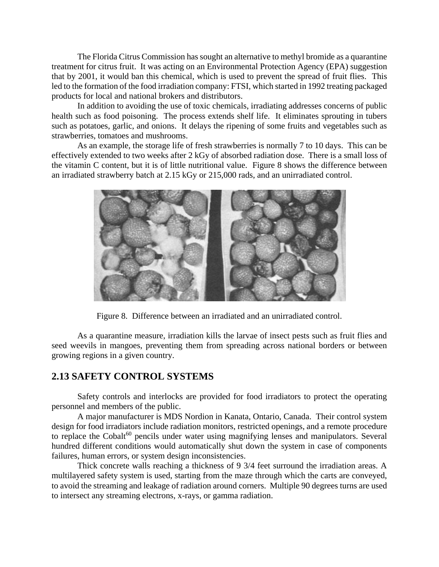The Florida Citrus Commission has sought an alternative to methyl bromide as a quarantine treatment for citrus fruit. It was acting on an Environmental Protection Agency (EPA) suggestion that by 2001, it would ban this chemical, which is used to prevent the spread of fruit flies. This led to the formation of the food irradiation company: FTSI, which started in 1992 treating packaged products for local and national brokers and distributors.

In addition to avoiding the use of toxic chemicals, irradiating addresses concerns of public health such as food poisoning. The process extends shelf life. It eliminates sprouting in tubers such as potatoes, garlic, and onions. It delays the ripening of some fruits and vegetables such as strawberries, tomatoes and mushrooms.

As an example, the storage life of fresh strawberries is normally 7 to 10 days. This can be effectively extended to two weeks after 2 kGy of absorbed radiation dose. There is a small loss of the vitamin C content, but it is of little nutritional value. Figure 8 shows the difference between an irradiated strawberry batch at 2.15 kGy or 215,000 rads, and an unirradiated control.



Figure 8. Difference between an irradiated and an unirradiated control.

As a quarantine measure, irradiation kills the larvae of insect pests such as fruit flies and seed weevils in mangoes, preventing them from spreading across national borders or between growing regions in a given country.

## **2.13 SAFETY CONTROL SYSTEMS**

Safety controls and interlocks are provided for food irradiators to protect the operating personnel and members of the public.

A major manufacturer is MDS Nordion in Kanata, Ontario, Canada. Their control system design for food irradiators include radiation monitors, restricted openings, and a remote procedure to replace the Cobalt $60$  pencils under water using magnifying lenses and manipulators. Several hundred different conditions would automatically shut down the system in case of components failures, human errors, or system design inconsistencies.

Thick concrete walls reaching a thickness of 9 3/4 feet surround the irradiation areas. A multilayered safety system is used, starting from the maze through which the carts are conveyed, to avoid the streaming and leakage of radiation around corners. Multiple 90 degrees turns are used to intersect any streaming electrons, x-rays, or gamma radiation.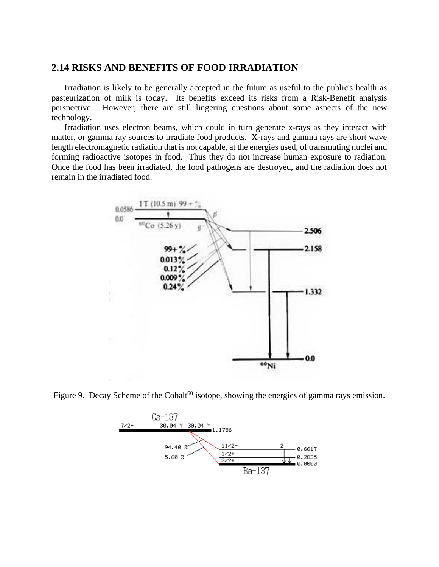## **2.14 RISKS AND BENEFITS OF FOOD IRRADIATION**

Irradiation is likely to be generally accepted in the future as useful to the public's health as pasteurization of milk is today. Its benefits exceed its risks from a Risk-Benefit analysis perspective. However, there are still lingering questions about some aspects of the new technology.

Irradiation uses electron beams, which could in turn generate x-rays as they interact with matter, or gamma ray sources to irradiate food products. X-rays and gamma rays are short wave length electromagnetic radiation that is not capable, at the energies used, of transmuting nuclei and forming radioactive isotopes in food. Thus they do not increase human exposure to radiation. Once the food has been irradiated, the food pathogens are destroyed, and the radiation does not remain in the irradiated food.



Figure 9. Decay Scheme of the Cobalt<sup>60</sup> isotope, showing the energies of gamma rays emission.

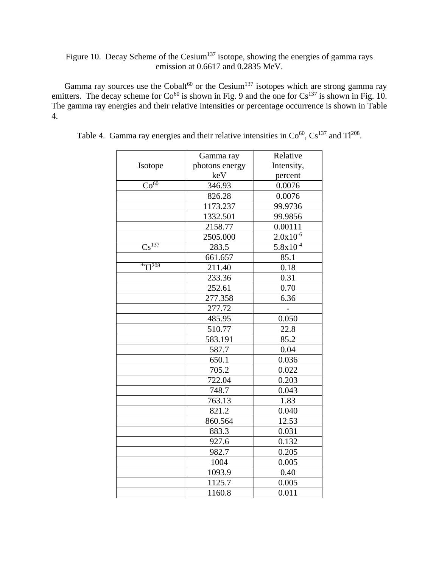# Figure 10. Decay Scheme of the Cesium<sup>137</sup> isotope, showing the energies of gamma rays emission at 0.6617 and 0.2835 MeV.

Gamma ray sources use the Cobalt<sup>60</sup> or the Cesium<sup>137</sup> isotopes which are strong gamma ray emitters. The decay scheme for  $Co^{60}$  is shown in Fig. 9 and the one for  $Cs^{137}$  is shown in Fig. 10. The gamma ray energies and their relative intensities or percentage occurrence is shown in Table 4.

|                              | Gamma ray      | Relative      |
|------------------------------|----------------|---------------|
| Isotope                      | photons energy | Intensity,    |
|                              | keV            | percent       |
| Co <sup>60</sup>             | 346.93         | 0.0076        |
|                              | 826.28         | 0.0076        |
|                              | 1173.237       | 99.9736       |
|                              | 1332.501       | 99.9856       |
|                              | 2158.77        | 0.00111       |
|                              | 2505.000       | $2.0x10^{-6}$ |
| $\overline{\text{Cs}^{137}}$ | 283.5          | $5.8x10^{-4}$ |
|                              | 661.657        | 85.1          |
| *T $1^{208}$                 | 211.40         | 0.18          |
|                              | 233.36         | 0.31          |
|                              | 252.61         | 0.70          |
|                              | 277.358        | 6.36          |
|                              | 277.72         |               |
|                              | 485.95         | 0.050         |
|                              | 510.77         | 22.8          |
|                              | 583.191        | 85.2          |
|                              | 587.7          | 0.04          |
|                              | 650.1          | 0.036         |
|                              | 705.2          | 0.022         |
|                              | 722.04         | 0.203         |
|                              | 748.7          | 0.043         |
|                              | 763.13         | 1.83          |
|                              | 821.2          | 0.040         |
|                              | 860.564        | 12.53         |
|                              | 883.3          | 0.031         |
|                              | 927.6          | 0.132         |
|                              | 982.7          | 0.205         |
|                              | 1004           | 0.005         |
|                              | 1093.9         | 0.40          |
|                              | 1125.7         | 0.005         |
|                              | 1160.8         | 0.011         |

Table 4. Gamma ray energies and their relative intensities in  $Co^{60}$ ,  $Cs^{137}$  and  $T1^{208}$ .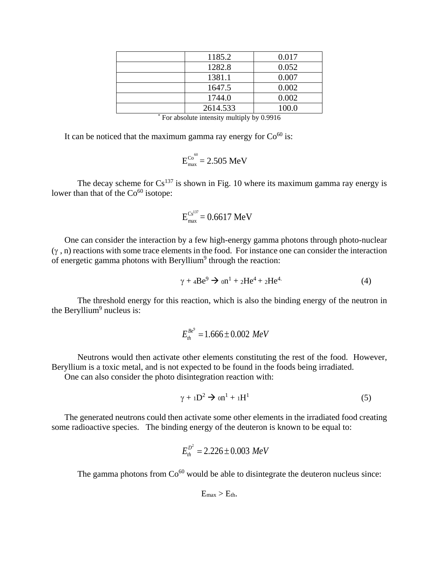| 1185.2 | 0.017                                                                                              |
|--------|----------------------------------------------------------------------------------------------------|
|        | 0.052                                                                                              |
|        | 0.007                                                                                              |
|        | 0.002                                                                                              |
|        | 0.002                                                                                              |
|        | 100.0                                                                                              |
|        | 1282.8<br>1381.1<br>1647.5<br>1744.0<br>2614.533<br>$-1$ , $-1$ , $-1$ , $-1$ , $-1$ , $-1$ , $-1$ |

|  |  | * For absolute intensity multiply by 0.9916 |
|--|--|---------------------------------------------|
|  |  |                                             |

It can be noticed that the maximum gamma ray energy for  $Co<sup>60</sup>$  is:

$$
E_{\text{max}}^{\text{Co}^{60}} = 2.505 \text{ MeV}
$$

The decay scheme for  $Cs^{137}$  is shown in Fig. 10 where its maximum gamma ray energy is lower than that of the  $Co<sup>60</sup>$  isotope:

$$
E_{\rm max}^{\rm Cs^{137}} = 0.6617 \text{ MeV}
$$

One can consider the interaction by a few high-energy gamma photons through photo-nuclear  $(y, n)$  reactions with some trace elements in the food. For instance one can consider the interaction of energetic gamma photons with Beryllium<sup>9</sup> through the reaction:

$$
\gamma + 4Be^9 \rightarrow 0n^1 + 2He^4 + 2He^4 \tag{4}
$$

The threshold energy for this reaction, which is also the binding energy of the neutron in the Beryllium<sup>9</sup> nucleus is:

$$
E_{th}^{Be^9} = 1.666 \pm 0.002 \; MeV
$$

Neutrons would then activate other elements constituting the rest of the food. However, Beryllium is a toxic metal, and is not expected to be found in the foods being irradiated.

One can also consider the photo disintegration reaction with:

$$
\gamma + {}_{1}D^{2} \rightarrow {}_{0}n^{1} + {}_{1}H^{1}
$$
 (5)

The generated neutrons could then activate some other elements in the irradiated food creating some radioactive species. The binding energy of the deuteron is known to be equal to:

$$
E_{th}^{D^2} = 2.226 \pm 0.003 \; MeV
$$

The gamma photons from  $Co<sup>60</sup>$  would be able to disintegrate the deuteron nucleus since:

$$
E_{\text{max}} > E_{\text{th}}.
$$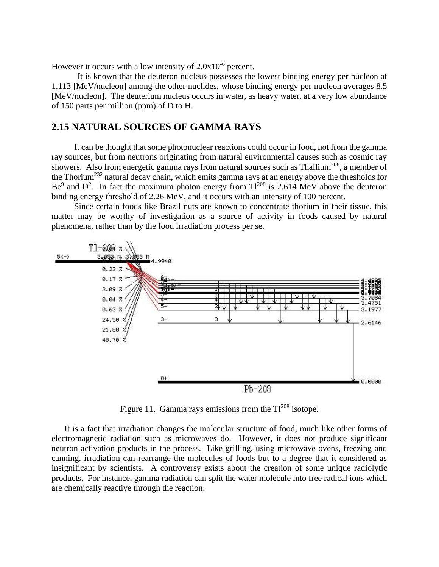However it occurs with a low intensity of  $2.0x10^{-6}$  percent.

It is known that the deuteron nucleus possesses the lowest binding energy per nucleon at 1.113 [MeV/nucleon] among the other nuclides, whose binding energy per nucleon averages 8.5 [MeV/nucleon]. The deuterium nucleus occurs in water, as heavy water, at a very low abundance of 150 parts per million (ppm) of D to H.

## **2.15 NATURAL SOURCES OF GAMMA RAYS**

It can be thought that some photonuclear reactions could occur in food, not from the gamma ray sources, but from neutrons originating from natural environmental causes such as cosmic ray showers. Also from energetic gamma rays from natural sources such as Thallium<sup>208</sup>, a member of the Thorium<sup>232</sup> natural decay chain, which emits gamma rays at an energy above the thresholds for Be<sup>9</sup> and  $D^2$ . In fact the maximum photon energy from Tl<sup>208</sup> is 2.614 MeV above the deuteron binding energy threshold of 2.26 MeV, and it occurs with an intensity of 100 percent.

Since certain foods like Brazil nuts are known to concentrate thorium in their tissue, this matter may be worthy of investigation as a source of activity in foods caused by natural phenomena, rather than by the food irradiation process per se.



Figure 11. Gamma rays emissions from the  $TI^{208}$  isotope.

It is a fact that irradiation changes the molecular structure of food, much like other forms of electromagnetic radiation such as microwaves do. However, it does not produce significant neutron activation products in the process. Like grilling, using microwave ovens, freezing and canning, irradiation can rearrange the molecules of foods but to a degree that it considered as insignificant by scientists. A controversy exists about the creation of some unique radiolytic products. For instance, gamma radiation can split the water molecule into free radical ions which are chemically reactive through the reaction: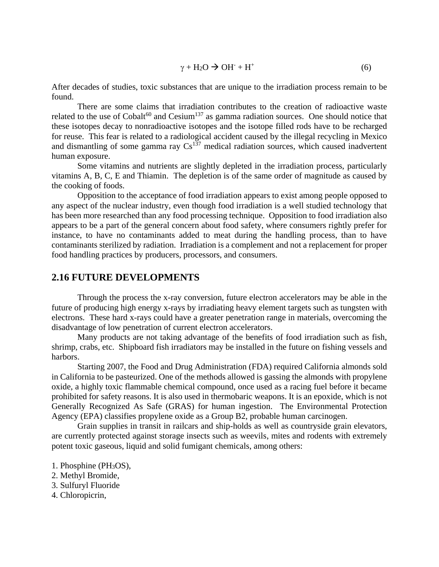$$
\gamma + H_2O \to OH^- + H^+ \tag{6}
$$

After decades of studies, toxic substances that are unique to the irradiation process remain to be found.

There are some claims that irradiation contributes to the creation of radioactive waste related to the use of  $Cobalt^{60}$  and  $Cesium<sup>137</sup>$  as gamma radiation sources. One should notice that these isotopes decay to nonradioactive isotopes and the isotope filled rods have to be recharged for reuse. This fear is related to a radiological accident caused by the illegal recycling in Mexico and dismantling of some gamma ray  $Cs^{137}$  medical radiation sources, which caused inadvertent human exposure.

Some vitamins and nutrients are slightly depleted in the irradiation process, particularly vitamins A, B, C, E and Thiamin. The depletion is of the same order of magnitude as caused by the cooking of foods.

Opposition to the acceptance of food irradiation appears to exist among people opposed to any aspect of the nuclear industry, even though food irradiation is a well studied technology that has been more researched than any food processing technique. Opposition to food irradiation also appears to be a part of the general concern about food safety, where consumers rightly prefer for instance, to have no contaminants added to meat during the handling process, than to have contaminants sterilized by radiation. Irradiation is a complement and not a replacement for proper food handling practices by producers, processors, and consumers.

#### **2.16 FUTURE DEVELOPMENTS**

Through the process the x-ray conversion, future electron accelerators may be able in the future of producing high energy x-rays by irradiating heavy element targets such as tungsten with electrons. These hard x-rays could have a greater penetration range in materials, overcoming the disadvantage of low penetration of current electron accelerators.

Many products are not taking advantage of the benefits of food irradiation such as fish, shrimp, crabs, etc. Shipboard fish irradiators may be installed in the future on fishing vessels and harbors.

Starting 2007, the Food and Drug Administration (FDA) required California almonds sold in California to be pasteurized. One of the methods allowed is gassing the almonds with propylene oxide, a highly toxic flammable chemical compound, once used as a racing fuel before it became prohibited for safety reasons. It is also used in thermobaric weapons. It is an epoxide, which is not Generally Recognized As Safe (GRAS) for human ingestion. The Environmental Protection Agency (EPA) classifies propylene oxide as a Group B2, probable human carcinogen.

Grain supplies in transit in railcars and ship-holds as well as countryside grain elevators, are currently protected against storage insects such as weevils, mites and rodents with extremely potent toxic gaseous, liquid and solid fumigant chemicals, among others:

- 1. Phosphine (PH3OS),
- 2. Methyl Bromide,
- 3. Sulfuryl Fluoride
- 4. Chloropicrin,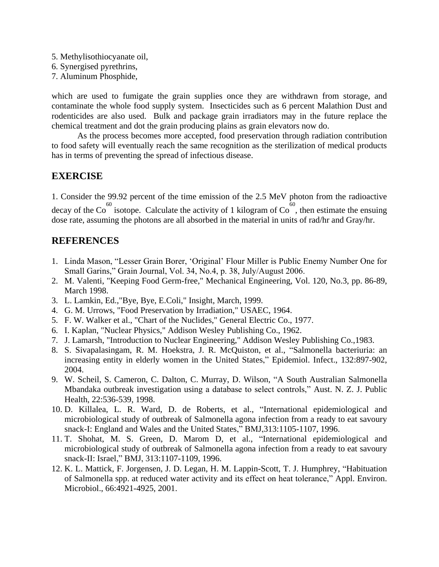- 5. Methylisothiocyanate oil,
- 6. Synergised pyrethrins,
- 7. Aluminum Phosphide,

which are used to fumigate the grain supplies once they are withdrawn from storage, and contaminate the whole food supply system. Insecticides such as 6 percent Malathion Dust and rodenticides are also used. Bulk and package grain irradiators may in the future replace the chemical treatment and dot the grain producing plains as grain elevators now do.

As the process becomes more accepted, food preservation through radiation contribution to food safety will eventually reach the same recognition as the sterilization of medical products has in terms of preventing the spread of infectious disease.

# **EXERCISE**

1. Consider the 99.92 percent of the time emission of the 2.5 MeV photon from the radioactive decay of the Co<sup>60</sup> isotope. Calculate the activity of 1 kilogram of Co<sup>60</sup>, then estimate the ensuing dose rate, assuming the photons are all absorbed in the material in units of rad/hr and Gray/hr.

# **REFERENCES**

- 1. Linda Mason, "Lesser Grain Borer, 'Original' Flour Miller is Public Enemy Number One for Small Garins," Grain Journal, Vol. 34, No.4, p. 38, July/August 2006.
- 2. M. Valenti, "Keeping Food Germ-free," Mechanical Engineering, Vol. 120, No.3, pp. 86-89, March 1998.
- 3. L. Lamkin, Ed.,"Bye, Bye, E.Coli," Insight, March, 1999.
- 4. G. M. Urrows, "Food Preservation by Irradiation," USAEC, 1964.
- 5. F. W. Walker et al., "Chart of the Nuclides," General Electric Co., 1977.
- 6. I. Kaplan, "Nuclear Physics," Addison Wesley Publishing Co., 1962.
- 7. J. Lamarsh, "Introduction to Nuclear Engineering," Addison Wesley Publishing Co.,1983.
- 8. S. Sivapalasingam, R. M. Hoekstra, J. R. McQuiston, et al., "Salmonella bacteriuria: an increasing entity in elderly women in the United States," Epidemiol. Infect., 132:897-902, 2004.
- 9. W. Scheil, S. Cameron, C. Dalton, C. Murray, D. Wilson, "A South Australian Salmonella Mbandaka outbreak investigation using a database to select controls," Aust. N. Z. J. Public Health, 22:536-539, 1998.
- 10. D. Killalea, L. R. Ward, D. de Roberts, et al., "International epidemiological and microbiological study of outbreak of Salmonella agona infection from a ready to eat savoury snack-I: England and Wales and the United States," BMJ,313:1105-1107, 1996.
- 11. T. Shohat, M. S. Green, D. Marom D, et al., "International epidemiological and microbiological study of outbreak of Salmonella agona infection from a ready to eat savoury snack-II: Israel," BMJ, 313:1107-1109, 1996.
- 12. K. L. Mattick, F. Jorgensen, J. D. Legan, H. M. Lappin-Scott, T. J. Humphrey, "Habituation of Salmonella spp. at reduced water activity and its effect on heat tolerance," Appl. Environ. Microbiol., 66:4921-4925, 2001.